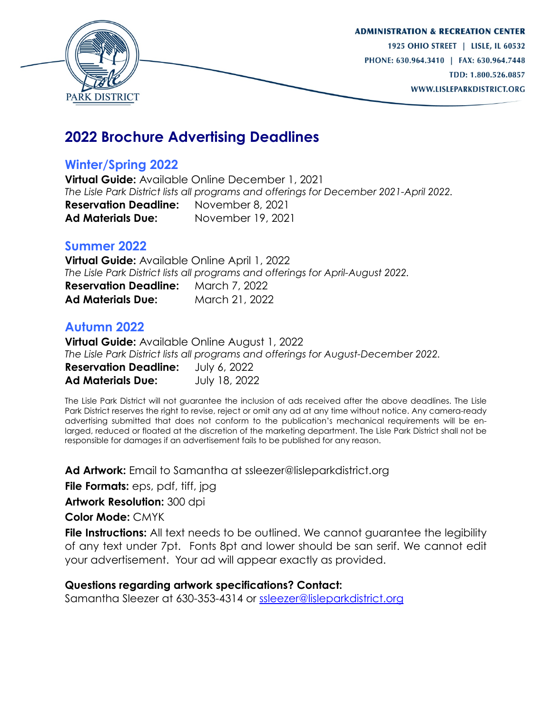

# **2022 Brochure Advertising Deadlines**

## **Winter/Spring 2022**

**Virtual Guide:** Available Online December 1, 2021 *The Lisle Park District lists all programs and offerings for December 2021-April 2022.*  **Reservation Deadline:** November 8, 2021 **Ad Materials Due:** November 19, 2021

### **Summer 2022**

**Virtual Guide:** Available Online April 1, 2022 *The Lisle Park District lists all programs and offerings for April-August 2022.*  **Reservation Deadline:** March 7, 2022 **Ad Materials Due:** March 21, 2022

## **Autumn 2022**

**Virtual Guide:** Available Online August 1, 2022 *The Lisle Park District lists all programs and offerings for August-December 2022.*  **Reservation Deadline:** July 6, 2022 **Ad Materials Due:** July 18, 2022

The Lisle Park District will not guarantee the inclusion of ads received after the above deadlines. The Lisle Park District reserves the right to revise, reject or omit any ad at any time without notice. Any camera-ready advertising submitted that does not conform to the publication's mechanical requirements will be enlarged, reduced or floated at the discretion of the marketing department. The Lisle Park District shall not be responsible for damages if an advertisement fails to be published for any reason.

**Ad Artwork:** Email to Samantha at ssleezer@lisleparkdistrict.org

**File Formats:** eps, pdf, tiff, jpg

**Artwork Resolution:** 300 dpi

**Color Mode:** CMYK

**File Instructions:** All text needs to be outlined. We cannot guarantee the legibility of any text under 7pt. Fonts 8pt and lower should be san serif. We cannot edit your advertisement. Your ad will appear exactly as provided.

### **Questions regarding artwork specifications? Contact:**

Samantha Sleezer at 630-353-4314 or [ssleezer@lisleparkdistrict.org](mailto:ssleezer@lisleparkdistrict.org)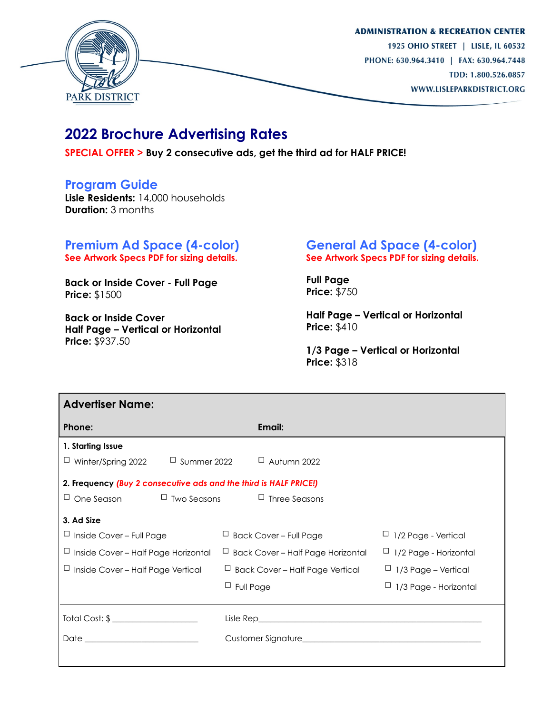

## **2022 Brochure Advertising Rates**

**SPECIAL OFFER > Buy 2 consecutive ads, get the third ad for HALF PRICE!**

### **Program Guide**

**Lisle Residents:** 14,000 households **Duration:** 3 months

#### **Premium Ad Space (4-color) See Artwork Specs PDF for sizing details.**

**Back or Inside Cover - Full Page Price:** \$1500

**Back or Inside Cover Half Page – Vertical or Horizontal Price:** \$937.50

#### **General Ad Space (4-color) See Artwork Specs PDF for sizing details.**

**Full Page Price:** \$750

**Half Page – Vertical or Horizontal Price:** \$410

**1/3 Page – Vertical or Horizontal Price:** \$318

| <b>Advertiser Name:</b>                                           |                                          |                              |
|-------------------------------------------------------------------|------------------------------------------|------------------------------|
| Phone:                                                            | Email:                                   |                              |
| 1. Starting Issue                                                 |                                          |                              |
| $\Box$ Summer 2022<br>$\Box$ Winter/Spring 2022                   | $\Box$ Autumn 2022                       |                              |
| 2. Frequency (Buy 2 consecutive ads and the third is HALF PRICE!) |                                          |                              |
| $\sqcup$ One Season                                               | $\Box$ Two Seasons $\Box$ Three Seasons  |                              |
| 3. Ad Size                                                        |                                          |                              |
| $\Box$ Inside Cover - Full Page                                   | $\Box$ Back Cover – Full Page            | $\Box$ 1/2 Page - Vertical   |
| $\Box$ Inside Cover – Half Page Horizontal                        | $\Box$ Back Cover – Half Page Horizontal | $\Box$ 1/2 Page - Horizontal |
| $\Box$ Inside Cover – Half Page Vertical                          | $\Box$ Back Cover – Half Page Vertical   | $\Box$ 1/3 Page – Vertical   |
|                                                                   | $\Box$ Full Page                         | $\Box$ 1/3 Page - Horizontal |
|                                                                   |                                          |                              |
|                                                                   |                                          |                              |
|                                                                   |                                          |                              |